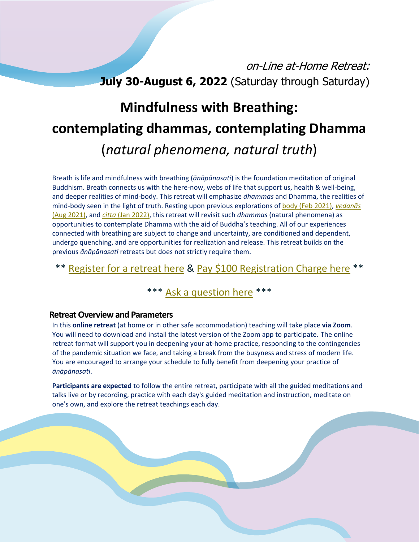# on-Line at-Home Retreat: **July 30-August 6, 2022** (Saturday through Saturday)

# **Mindfulness with Breathing: contemplating dhammas, contemplating Dhamma** (*natural phenomena, natural truth*)

Breath is life and mindfulness with breathing (*ānāpānasati*) is the foundation meditation of original Buddhism. Breath connects us with the here-now, webs of life that support us, health & well-being, and deeper realities of mind-body. This retreat will emphasize *dhammas* and Dhamma, the realities of mind-body seen in the light of truth. Resting upon previous explorations of body [\(Feb 2021\),](https://www.kevalaretreat.org/wp-content/uploads/2021/01/February-2021-Retreat-Description.pdf) *[vedanās](https://www.kevalaretreat.org/wp-content/uploads/2021/07/Retreat-Description_Anapanasati_2021august.pdf)* [\(Aug 2021\),](https://www.kevalaretreat.org/wp-content/uploads/2021/07/Retreat-Description_Anapanasati_2021august.pdf) and *citta* [\(Jan 2022\),](https://www.kevalaretreat.org/wp-content/uploads/2021/11/Retreat-Description_Anapanasati-Citta_2022january.pdf) this retreat will revisit such *dhammas* (natural phenomena) as opportunities to contemplate Dhamma with the aid of Buddha's teaching. All of our experiences connected with breathing are subject to change and uncertainty, are conditioned and dependent, undergo quenching, and are opportunities for realization and release. This retreat builds on the previous *ānāpānasati* retreats but does not strictly require them.

## \*\* [Register for a retreat here](https://www.kevalaretreat.org/retreat-registration/) & [Pay \\$100 Registration Charge here](https://www.kevalaretreat.org/registration-charge-for-courses-and-retreats/) \*\*

## \*\*\* [Ask a question here](mailto:santi@kevalaretreat.org) \*\*\*

#### **Retreat Overview and Parameters**

In this **online retreat** (at home or in other safe accommodation) teaching will take place **via Zoom**. You will need to download and install the latest version of the Zoom app to participate. The online retreat format will support you in deepening your at-home practice, responding to the contingencies of the pandemic situation we face, and taking a break from the busyness and stress of modern life. You are encouraged to arrange your schedule to fully benefit from deepening your practice of *ānāpānasati*.

**Participants are expected** to follow the entire retreat, participate with all the guided meditations and talks live or by recording, practice with each day's guided meditation and instruction, meditate on one's own, and explore the retreat teachings each day.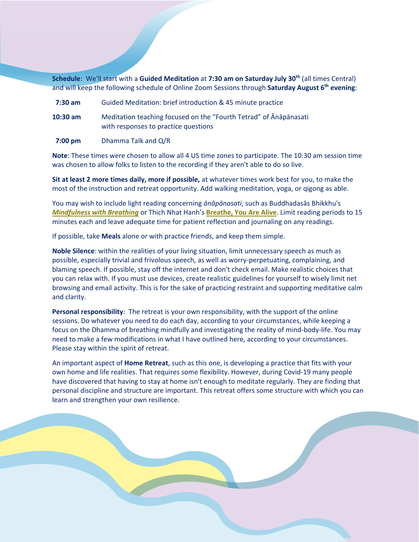**Schedule**: We'll start with a **Guided Meditation** at **7:30 am on Saturday July 30th** (all times Central) and will keep the following schedule of Online Zoom Sessions through **Saturday August 6th evening**:

- **7:30 am** Guided Meditation: brief introduction & 45 minute practice **10:30 am** Meditation teaching focused on the "Fourth Tetrad" of Ānāpānasati with responses to practice questions
- **7:00 pm** Dhamma Talk and Q/R

**Note**: These times were chosen to allow all 4 US time zones to participate. The 10:30 am session time was chosen to allow folks to listen to the recording if they aren't able to do so live.

**Sit at least 2 more times daily, more if possible,** at whatever times work best for you, to make the most of the instruction and retreat opportunity. Add walking meditation, yoga, or qigong as able.

You may wish to include light reading concerning *ānāpānasati*, such as Buddhadasās Bhikkhu's *[Mindfulness with Breathing](https://wisdomexperience.org/content-author/ajahn-buddhadasa-bhikkhu/)* or Thich Nhat Hanh's **[Breathe, You Are Alive](https://www.parallax.org/product/breathe-you-are-alive-the-sutra-on-the-full-awareness-of-breathing/)**. Limit reading periods to 15 minutes each and leave adequate time for patient reflection and journaling on any readings.

If possible, take **Meals** alone or with practice friends, and keep them simple.

**Noble Silence**: within the realities of your living situation, limit unnecessary speech as much as possible, especially trivial and frivolous speech, as well as worry-perpetuating, complaining, and blaming speech. If possible, stay off the internet and don't check email. Make realistic choices that you can relax with. If you must use devices, create realistic guidelines for yourself to wisely limit net browsing and email activity. This is for the sake of practicing restraint and supporting meditative calm and clarity.

**Personal responsibility**: The retreat is your own responsibility, with the support of the online sessions. Do whatever you need to do each day, according to your circumstances, while keeping a focus on the Dhamma of breathing mindfully and investigating the reality of mind-body-life. You may need to make a few modifications in what I have outlined here, according to your circumstances. Please stay within the spirit of retreat.

An important aspect of **Home Retreat**, such as this one, is developing a practice that fits with your own home and life realities. That requires some flexibility. However, during Covid-19 many people have discovered that having to stay at home isn't enough to meditate regularly. They are finding that personal discipline and structure are important. This retreat offers some structure with which you can learn and strengthen your own resilience.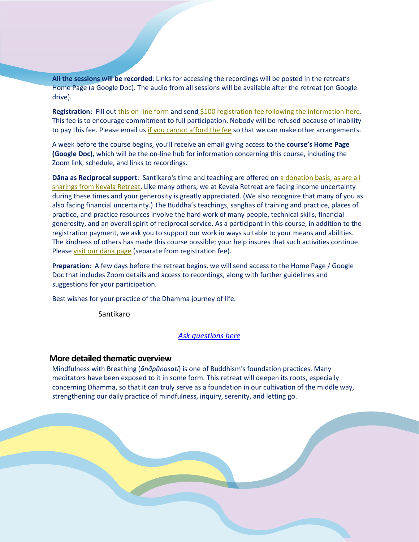**All the sessions will be recorded**: Links for accessing the recordings will be posted in the retreat's Home Page (a Google Doc). The audio from all sessions will be available after the retreat (on Google drive).

**Registration:** Fill out this [on-line](https://www.kevalaretreat.org/retreat-registration/) form and sen[d \\$100 registration fee following the information here.](https://www.kevalaretreat.org/registration-charge-for-courses-and-retreats/) This fee is to encourage commitment to full participation. Nobody will be refused because of inability to pay this fee. Please email us [if you cannot afford the fee](mailto:santi@kevalaretreat.org?subject=Course%20Registration) so that we can make other arrangements.

A week before the course begins, you'll receive an email giving access to the **course's Home Page (Google Doc)**, which will be the on-line hub for information concerning this course, including the Zoom link, schedule, and links to recordings.

**Dāna as Reciprocal support**: Santikaro's time and teaching are offered o[n a donation basis, as are all](https://www.kevalaretreat.org/give-volunteer/)  [sharings from Kevala Retreat.](https://www.kevalaretreat.org/give-volunteer/) Like many others, we at Kevala Retreat are facing income uncertainty during these times and your generosity is greatly appreciated. (We also recognize that many of you as also facing financial uncertainty.) The Buddha's teachings, sanghas of training and practice, places of practice, and practice resources involve the hard work of many people, technical skills, financial generosity, and an overall spirit of reciprocal service. As a participant in this course, in addition to the registration payment, we ask you to support our work in ways suitable to your means and abilities. The kindness of others has made this course possible; your help insures that such activities continue. Please [visit our dāna page](https://www.kevalaretreat.org/give-volunteer/) (separate from registration fee).

**Preparation**: A few days before the retreat begins, we will send access to the Home Page / Google Doc that includes Zoom details and access to recordings, along with further guidelines and suggestions for your participation.

Best wishes for your practice of the Dhamma journey of life.

Santikaro

#### *[Ask questions](mailto:santi@kevalaretreat.org) here*

#### **More detailed thematic overview**

Mindfulness with Breathing (*ānāpānasati*) is one of Buddhism's foundation practices. Many meditators have been exposed to it in some form. This retreat will deepen its roots, especially concerning Dhamma, so that it can truly serve as a foundation in our cultivation of the middle way, strengthening our daily practice of mindfulness, inquiry, serenity, and letting go.